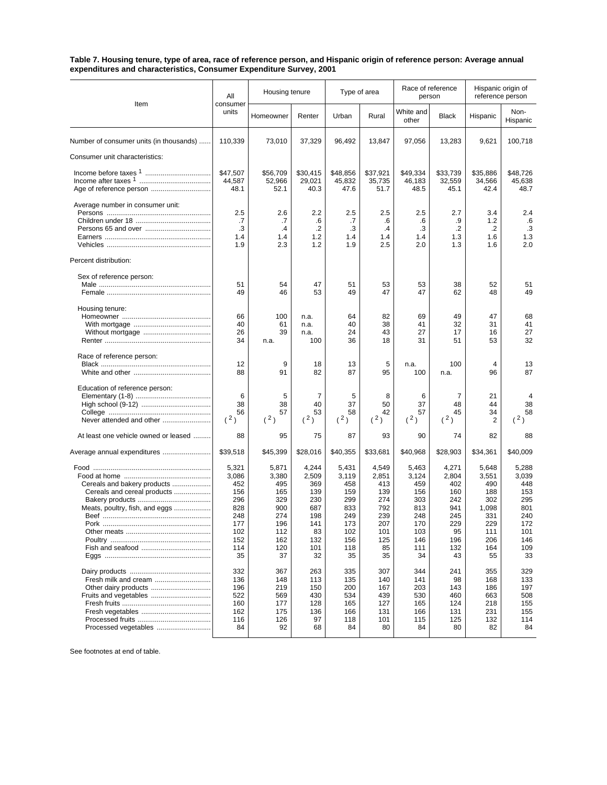## **Table 7. Housing tenure, type of area, race of reference person, and Hispanic origin of reference person: Average annual expenditures and characteristics, Consumer Expenditure Survey, 2001**

|                                                                                              | All                                                                                 | Housing tenure                                                                      |                                                                                    | Type of area                                                                        |                                                                                    | Race of reference<br>person                                                         |                                                                                    | Hispanic origin of<br>reference person                                                |                                                                                     |
|----------------------------------------------------------------------------------------------|-------------------------------------------------------------------------------------|-------------------------------------------------------------------------------------|------------------------------------------------------------------------------------|-------------------------------------------------------------------------------------|------------------------------------------------------------------------------------|-------------------------------------------------------------------------------------|------------------------------------------------------------------------------------|---------------------------------------------------------------------------------------|-------------------------------------------------------------------------------------|
| Item                                                                                         | consumer<br>units                                                                   | Homeowner                                                                           | Renter                                                                             | Urban                                                                               | Rural                                                                              | White and<br>other                                                                  | <b>Black</b>                                                                       | Hispanic                                                                              | Non-<br>Hispanic                                                                    |
| Number of consumer units (in thousands)                                                      | 110,339                                                                             | 73,010                                                                              | 37,329                                                                             | 96,492                                                                              | 13,847                                                                             | 97,056                                                                              | 13,283                                                                             | 9,621                                                                                 | 100,718                                                                             |
| Consumer unit characteristics:                                                               |                                                                                     |                                                                                     |                                                                                    |                                                                                     |                                                                                    |                                                                                     |                                                                                    |                                                                                       |                                                                                     |
|                                                                                              | \$47,507<br>44,587<br>48.1                                                          | \$56,709<br>52,966<br>52.1                                                          | \$30,415<br>29,021<br>40.3                                                         | \$48,856<br>45.832<br>47.6                                                          | \$37,921<br>35,735<br>51.7                                                         | \$49,334<br>46,183<br>48.5                                                          | \$33,739<br>32,559<br>45.1                                                         | \$35,886<br>34,566<br>42.4                                                            | \$48,726<br>45,638<br>48.7                                                          |
| Average number in consumer unit:                                                             | 2.5                                                                                 | 2.6                                                                                 |                                                                                    | 2.5                                                                                 | 2.5                                                                                | 2.5                                                                                 | 2.7                                                                                | 3.4                                                                                   | 2.4                                                                                 |
|                                                                                              | .7<br>$\cdot$ 3                                                                     | .7<br>$\cdot$                                                                       | 2.2<br>.6<br>$\cdot$                                                               | .7<br>.3                                                                            | .6<br>$\cdot$                                                                      | .6<br>.3                                                                            | .9<br>.2                                                                           | 1.2<br>.2                                                                             | .6<br>$\cdot$ 3<br>1.3                                                              |
|                                                                                              | 1.4<br>1.9                                                                          | 1.4<br>2.3                                                                          | 1.2<br>1.2                                                                         | 1.4<br>1.9                                                                          | 1.4<br>2.5                                                                         | 1.4<br>2.0                                                                          | 1.3<br>1.3                                                                         | 1.6<br>1.6                                                                            | 2.0                                                                                 |
| Percent distribution:                                                                        |                                                                                     |                                                                                     |                                                                                    |                                                                                     |                                                                                    |                                                                                     |                                                                                    |                                                                                       |                                                                                     |
| Sex of reference person:                                                                     | 51<br>49                                                                            | 54<br>46                                                                            | 47<br>53                                                                           | 51<br>49                                                                            | 53<br>47                                                                           | 53<br>47                                                                            | 38<br>62                                                                           | 52<br>48                                                                              | 51<br>49                                                                            |
| Housing tenure:                                                                              | 66<br>40<br>26<br>34                                                                | 100<br>61<br>39<br>n.a.                                                             | n.a.<br>n.a.<br>n.a.<br>100                                                        | 64<br>40<br>24<br>36                                                                | 82<br>38<br>43<br>18                                                               | 69<br>41<br>27<br>31                                                                | 49<br>32<br>17<br>51                                                               | 47<br>31<br>16<br>53                                                                  | 68<br>41<br>27<br>32                                                                |
| Race of reference person:                                                                    | 12<br>88                                                                            | 9<br>91                                                                             | 18<br>82                                                                           | 13<br>87                                                                            | 5<br>95                                                                            | n.a.<br>100                                                                         | 100<br>n.a.                                                                        | 4<br>96                                                                               | 13<br>87                                                                            |
| Education of reference person:<br>Never attended and other                                   | 6<br>38<br>56<br>(2)                                                                | 5<br>38<br>57<br>(2)                                                                | 7<br>40<br>53<br>(2)                                                               | 5<br>37<br>58<br>(2)                                                                | 8<br>50<br>42<br>(2)                                                               | 6<br>37<br>57<br>(2)                                                                | 7<br>48<br>45<br>(2)                                                               | 21<br>44<br>34<br>2                                                                   | 38<br>58<br>(2)                                                                     |
| At least one vehicle owned or leased                                                         | 88                                                                                  | 95                                                                                  | 75                                                                                 | 87                                                                                  | 93                                                                                 | 90                                                                                  | 74                                                                                 | 82                                                                                    | 88                                                                                  |
| Average annual expenditures                                                                  | \$39,518                                                                            | \$45,399                                                                            | \$28,016                                                                           | \$40,355                                                                            | \$33,681                                                                           | \$40,968                                                                            | \$28,903                                                                           | \$34,361                                                                              | \$40,009                                                                            |
| Cereals and bakery products<br>Cereals and cereal products<br>Meats, poultry, fish, and eggs | 5,321<br>3,086<br>452<br>156<br>296<br>828<br>248<br>177<br>102<br>152<br>114<br>35 | 5,871<br>3,380<br>495<br>165<br>329<br>900<br>274<br>196<br>112<br>162<br>120<br>37 | 4,244<br>2,509<br>369<br>139<br>230<br>687<br>198<br>141<br>83<br>132<br>101<br>32 | 5,431<br>3,119<br>458<br>159<br>299<br>833<br>249<br>173<br>102<br>156<br>118<br>35 | 4,549<br>2,851<br>413<br>139<br>274<br>792<br>239<br>207<br>101<br>125<br>85<br>35 | 5,463<br>3,124<br>459<br>156<br>303<br>813<br>248<br>170<br>103<br>146<br>111<br>34 | 4,271<br>2,804<br>402<br>160<br>242<br>941<br>245<br>229<br>95<br>196<br>132<br>43 | 5,648<br>3,551<br>490<br>188<br>302<br>1,098<br>331<br>229<br>111<br>206<br>164<br>55 | 5,288<br>3,039<br>448<br>153<br>295<br>801<br>240<br>172<br>101<br>146<br>109<br>33 |
| Fresh milk and cream<br>Fruits and vegetables<br>Processed vegetables                        | 332<br>136<br>196<br>522<br>160<br>162<br>116<br>84                                 | 367<br>148<br>219<br>569<br>177<br>175<br>126<br>92                                 | 263<br>113<br>150<br>430<br>128<br>136<br>97<br>68                                 | 335<br>135<br>200<br>534<br>165<br>166<br>118<br>84                                 | 307<br>140<br>167<br>439<br>127<br>131<br>101<br>80                                | 344<br>141<br>203<br>530<br>165<br>166<br>115<br>84                                 | 241<br>98<br>143<br>460<br>124<br>131<br>125<br>80                                 | 355<br>168<br>186<br>663<br>218<br>231<br>132<br>82                                   | 329<br>133<br>197<br>508<br>155<br>155<br>114<br>84                                 |

See footnotes at end of table.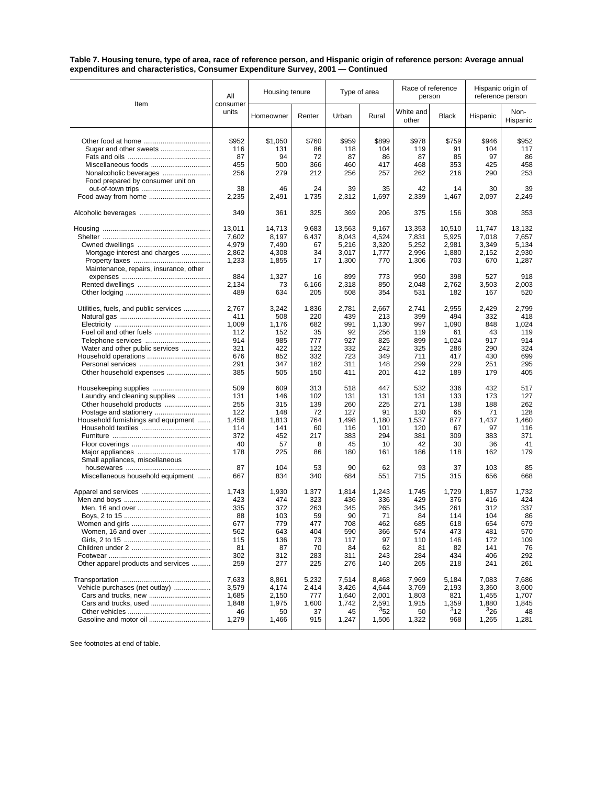## **Table 7. Housing tenure, type of area, race of reference person, and Hispanic origin of reference person: Average annual expenditures and characteristics, Consumer Expenditure Survey, 2001 — Continued**

|                                        | All               | Housing tenure |             | Type of area |              | Race of reference<br>person |              | Hispanic origin of<br>reference person |                  |
|----------------------------------------|-------------------|----------------|-------------|--------------|--------------|-----------------------------|--------------|----------------------------------------|------------------|
| Item                                   | consumer<br>units | Homeowner      | Renter      | Urban        | Rural        | White and<br>other          | <b>Black</b> | Hispanic                               | Non-<br>Hispanic |
| Sugar and other sweets                 | \$952<br>116      | \$1,050<br>131 | \$760<br>86 | \$959<br>118 | \$899<br>104 | \$978<br>119                | \$759<br>91  | \$946<br>104                           | \$952<br>117     |
|                                        | 87                | 94             | 72          | 87           | 86           | 87                          | 85           | 97                                     | 86               |
| Miscellaneous foods                    | 455               | 500            | 366         | 460          | 417          | 468                         | 353          | 425                                    | 458              |
| Nonalcoholic beverages                 | 256               | 279            | 212         | 256          | 257          | 262                         | 216          | 290                                    | 253              |
| Food prepared by consumer unit on      |                   |                |             |              |              |                             |              |                                        |                  |
|                                        | 38                | 46             | 24          | 39           | 35           | 42                          | 14           | 30                                     | 39               |
|                                        | 2,235             | 2,491          | 1,735       | 2,312        | 1,697        | 2,339                       | 1,467        | 2,097                                  | 2,249            |
|                                        | 349               | 361            | 325         | 369          | 206          | 375                         | 156          | 308                                    | 353              |
|                                        | 13,011            | 14,713         | 9,683       | 13,563       | 9,167        | 13,353                      | 10,510       | 11,747                                 | 13,132           |
|                                        | 7,602             | 8,197          | 6,437       | 8,043        | 4,524        | 7,831                       | 5,925        | 7,018                                  | 7,657            |
|                                        | 4,979             | 7,490          | 67          | 5,216        | 3,320        | 5,252                       | 2,981        | 3,349                                  | 5,134            |
| Mortgage interest and charges          | 2,862             | 4,308          | 34          | 3,017        | 1,777        | 2,996                       | 1,880        | 2,152                                  | 2,930            |
|                                        | 1,233             | 1,855          | 17          | 1,300        | 770          | 1,306                       | 703          | 670                                    | 1,287            |
| Maintenance, repairs, insurance, other |                   |                |             |              |              |                             |              |                                        |                  |
|                                        | 884               | 1,327          | 16          | 899          | 773          | 950                         | 398          | 527                                    | 918              |
|                                        | 2,134             | 73             | 6,166       | 2,318        | 850          | 2,048                       | 2,762        | 3,503                                  | 2,003            |
|                                        | 489               | 634            | 205         | 508          | 354          | 531                         | 182          | 167                                    | 520              |
| Utilities, fuels, and public services  | 2,767             | 3,242          | 1,836       | 2,781        | 2,667        | 2,741                       | 2,955        | 2,429                                  | 2,799            |
|                                        | 411               | 508            | 220         | 439          | 213          | 399                         | 494          | 332                                    | 418              |
|                                        | 1,009             | 1,176          | 682         | 991          | 1,130        | 997                         | 1,090        | 848                                    | 1,024            |
| Fuel oil and other fuels               | 112               | 152            | 35          | 92           | 256          | 119                         | 61           | 43                                     | 119              |
|                                        | 914               | 985            | 777         | 927          | 825          | 899                         | 1,024        | 917                                    | 914              |
| Water and other public services        | 321               | 422            | 122         | 332          | 242          | 325                         | 286          | 290                                    | 324              |
|                                        | 676               | 852            | 332         | 723          | 349          | 711                         | 417          | 430                                    | 699              |
|                                        | 291               | 347            | 182         | 311          | 148          | 299                         | 229          | 251                                    | 295              |
| Other household expenses               | 385               | 505            | 150         | 411          | 201          | 412                         | 189          | 179                                    | 405              |
| Housekeeping supplies                  | 509               | 609            | 313         | 518          | 447          | 532                         | 336          | 432                                    | 517              |
| Laundry and cleaning supplies          | 131               | 146            | 102         | 131          | 131          | 131                         | 133          | 173                                    | 127              |
|                                        | 255               | 315            | 139         | 260          | 225          | 271                         | 138          | 188                                    | 262              |
| Postage and stationery                 | 122               | 148            | 72          | 127          | 91           | 130                         | 65           | 71                                     | 128              |
| Household furnishings and equipment    | 1,458             | 1,813          | 764         | 1,498        | 1,180        | 1,537                       | 877          | 1,437                                  | 1,460            |
|                                        | 114               | 141            | 60          | 116          | 101          | 120                         | 67           | 97                                     | 116              |
|                                        | 372               | 452            | 217         | 383          | 294          | 381                         | 309          | 383                                    | 371              |
|                                        | 40                | 57             | 8           | 45           | 10           | 42                          | 30           | 36                                     | 41               |
|                                        | 178               | 225            | 86          | 180          | 161          | 186                         | 118          | 162                                    | 179              |
| Small appliances, miscellaneous        |                   |                |             |              |              |                             |              |                                        |                  |
|                                        | 87                | 104            | 53          | 90           | 62           | 93                          | 37           | 103                                    | 85               |
| Miscellaneous household equipment      | 667               | 834            | 340         | 684          | 551          | 715                         | 315          | 656                                    | 668              |
|                                        | 1,743             | 1,930          |             |              |              | 1,745                       |              |                                        | 1,732            |
|                                        |                   |                | 1,377       | 1,814        | 1,243        |                             | 1,729        | 1,857                                  |                  |
|                                        | 423               | 474            | 323         | 436          | 336          | 429                         | 376          | 416                                    | 424              |
|                                        | 335               | 372            | 263         | 345          | 265          | 345                         | 261          | 312                                    | 337              |
|                                        | 88                | 103            | 59          | 90           | 71           | 84                          | 114          | 104                                    | 86               |
|                                        | 677               | 779            | 477         | 708          | 462          | 685                         | 618          | 654                                    | 679              |
| Women, 16 and over                     | 562               | 643            | 404         | 590          | 366          | 574                         | 473          | 481                                    | 570              |
|                                        | 115               | 136            | 73          | 117          | 97           | 110                         | 146          | 172                                    | 109              |
|                                        | 81                | 87             | 70          | 84           | 62           | 81                          | 82           | 141                                    | 76               |
| Other apparel products and services    | 302<br>259        | 312<br>277     | 283<br>225  | 311<br>276   | 243<br>140   | 284<br>265                  | 434<br>218   | 406<br>241                             | 292<br>261       |
|                                        |                   |                |             |              |              |                             |              |                                        |                  |
|                                        | 7,633             | 8,861          | 5,232       | 7,514        | 8,468        | 7,969                       | 5,184        | 7,083                                  | 7,686            |
| Vehicle purchases (net outlay)         | 3,579             | 4,174          | 2,414       | 3,426        | 4,644        | 3,769                       | 2,193        | 3,360                                  | 3,600            |
|                                        | 1,685             | 2,150          | 777         | 1,640        | 2,001        | 1,803                       | 821          | 1,455                                  | 1,707            |
|                                        | 1,848             | 1,975          | 1,600       | 1,742        | 2,591        | 1,915                       | 1,359        | 1,880                                  | 1,845            |
|                                        | 46                | 50             | 37          | 45           | $3_{52}$     | 50                          | $3_{12}$     | 326                                    | 48               |
| Gasoline and motor oil                 | 1,279             | 1,466          | 915         | 1,247        | 1,506        | 1,322                       | 968          | 1,265                                  | 1,281            |

See footnotes at end of table.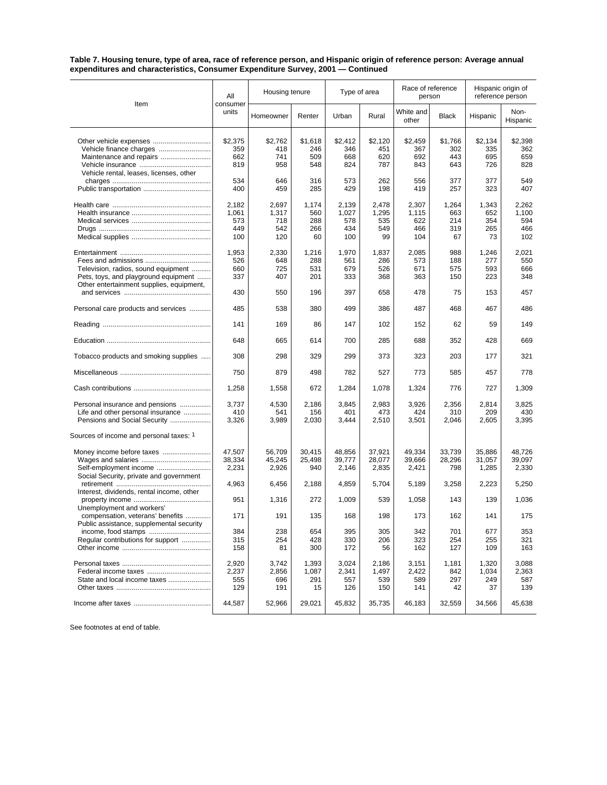## **Table 7. Housing tenure, type of area, race of reference person, and Hispanic origin of reference person: Average annual expenditures and characteristics, Consumer Expenditure Survey, 2001 — Continued**

|                                                               | All               | Housing tenure |                | Type of area   |                | Race of reference<br>person |                | Hispanic origin of<br>reference person |                  |
|---------------------------------------------------------------|-------------------|----------------|----------------|----------------|----------------|-----------------------------|----------------|----------------------------------------|------------------|
| Item                                                          | consumer<br>units | Homeowner      | Renter         | Urban          | Rural          | White and<br>other          | <b>Black</b>   | Hispanic                               | Non-<br>Hispanic |
| Other vehicle expenses                                        | \$2,375<br>359    | \$2,762<br>418 | \$1,618<br>246 | \$2,412<br>346 | \$2,120<br>451 | \$2,459<br>367              | \$1,766<br>302 | \$2,134<br>335                         | \$2,398<br>362   |
| Maintenance and repairs                                       | 662               | 741            | 509            | 668            | 620            | 692                         | 443            | 695                                    | 659              |
|                                                               | 819               | 958            | 548            | 824            | 787            | 843                         | 643            | 726                                    | 828              |
| Vehicle rental, leases, licenses, other                       |                   |                |                |                |                |                             |                |                                        |                  |
|                                                               | 534               | 646            | 316            | 573            | 262            | 556                         | 377            | 377                                    | 549              |
|                                                               | 400               | 459            | 285            | 429            | 198            | 419                         | 257            | 323                                    | 407              |
|                                                               | 2,182             | 2,697          | 1,174          | 2,139          | 2,478          | 2,307                       | 1,264          | 1,343                                  | 2,262            |
|                                                               | 1,061             | 1,317          | 560            | 1,027          | 1,295          | 1,115                       | 663            | 652                                    | 1,100            |
|                                                               | 573               | 718            | 288            | 578            | 535            | 622                         | 214            | 354                                    | 594              |
|                                                               | 449               | 542            | 266            | 434            | 549            | 466                         | 319            | 265                                    | 466              |
|                                                               |                   |                |                |                |                |                             |                |                                        |                  |
|                                                               | 100               | 120            | 60             | 100            | 99             | 104                         | 67             | 73                                     | 102              |
|                                                               | 1,953             | 2,330          | 1,216          | 1,970          | 1,837          | 2,085                       | 988            | 1,246                                  | 2,021            |
|                                                               |                   |                |                |                |                |                             |                |                                        |                  |
|                                                               | 526               | 648            | 288            | 561            | 286            | 573                         | 188            | 277                                    | 550              |
| Television, radios, sound equipment                           | 660               | 725            | 531            | 679            | 526            | 671                         | 575            | 593                                    | 666              |
| Pets, toys, and playground equipment                          | 337               | 407            | 201            | 333            | 368            | 363                         | 150            | 223                                    | 348              |
| Other entertainment supplies, equipment,                      | 430               | 550            | 196            | 397            | 658            | 478                         | 75             | 153                                    | 457              |
| Personal care products and services                           | 485               | 538            | 380            | 499            | 386            | 487                         | 468            | 467                                    | 486              |
|                                                               | 141               | 169            | 86             | 147            | 102            | 152                         | 62             | 59                                     | 149              |
|                                                               | 648               | 665            | 614            | 700            | 285            | 688                         | 352            | 428                                    | 669              |
|                                                               |                   |                |                |                |                |                             |                |                                        |                  |
| Tobacco products and smoking supplies                         | 308               | 298            | 329            | 299            | 373            | 323                         | 203            | 177                                    | 321              |
|                                                               | 750               | 879            | 498            | 782            | 527            | 773                         | 585            | 457                                    | 778              |
|                                                               | 1,258             | 1,558          | 672            | 1,284          | 1,078          | 1,324                       | 776            | 727                                    | 1,309            |
| Personal insurance and pensions                               | 3,737             | 4,530          | 2,186          | 3,845          | 2,983          | 3,926                       | 2,356          | 2,814                                  | 3,825            |
| Life and other personal insurance                             | 410               | 541            | 156            | 401            | 473            | 424                         | 310            | 209                                    | 430              |
| Pensions and Social Security                                  | 3,326             | 3,989          | 2,030          | 3,444          | 2,510          | 3,501                       | 2,046          | 2,605                                  | 3,395            |
| Sources of income and personal taxes: 1                       |                   |                |                |                |                |                             |                |                                        |                  |
|                                                               |                   |                |                |                |                |                             |                |                                        |                  |
| Money income before taxes                                     | 47,507            | 56,709         | 30,415         | 48,856         | 37,921         | 49,334                      | 33,739         | 35,886                                 | 48,726           |
|                                                               | 38,334            | 45,245         | 25,498         | 39,777         | 28,077         | 39,666                      | 28,296         | 31,057                                 | 39,097           |
| Self-employment income                                        | 2,231             | 2,926          | 940            | 2,146          | 2,835          | 2,421                       | 798            | 1,285                                  | 2,330            |
| Social Security, private and government                       |                   |                |                |                |                |                             |                |                                        |                  |
|                                                               | 4,963             | 6,456          | 2,188          | 4,859          | 5,704          | 5,189                       | 3,258          | 2,223                                  | 5,250            |
|                                                               |                   |                |                |                |                |                             |                |                                        |                  |
| Interest, dividends, rental income, other                     | 951               |                | 272            |                | 539            |                             | 143            | 139                                    |                  |
|                                                               |                   | 1,316          |                | 1,009          |                | 1,058                       |                |                                        | 1,036            |
| Unemployment and workers'<br>compensation, veterans' benefits | 171               | 191            | 135            | 168            | 198            | 173                         | 162            | 141                                    | 175              |
| Public assistance, supplemental security                      |                   |                |                |                |                |                             |                |                                        |                  |
|                                                               | 384               | 238            | 654            | 395            | 305            | 342                         | 701            | 677                                    | 353              |
| Regular contributions for support                             | 315               | 254            | 428            | 330            | 206            | 323                         | 254            | 255                                    | 321              |
|                                                               | 158               | 81             | 300            | 172            | 56             | 162                         | 127            | 109                                    | 163              |
|                                                               |                   |                |                |                |                |                             |                |                                        |                  |
|                                                               | 2,920             | 3,742          | 1,393          | 3,024          | 2,186          | 3,151                       | 1,181          | 1,320                                  | 3,088            |
|                                                               | 2,237             | 2,856          | 1,087          | 2,341          | 1,497          | 2,422                       | 842            | 1,034                                  | 2,363            |
| State and local income taxes                                  | 555               | 696            | 291            | 557            | 539            | 589                         | 297            | 249                                    | 587              |
|                                                               | 129               | 191            | 15             | 126            | 150            | 141                         | 42             | 37                                     | 139              |
|                                                               | 44,587            | 52,966         | 29,021         | 45,832         | 35,735         | 46,183                      | 32,559         | 34,566                                 | 45,638           |
|                                                               |                   |                |                |                |                |                             |                |                                        |                  |

See footnotes at end of table.